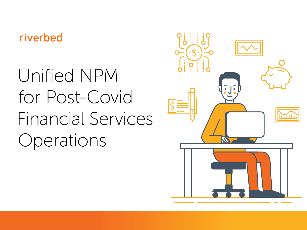### riverbed®

# Unified NPM for Post-Covid Financial Services Operations

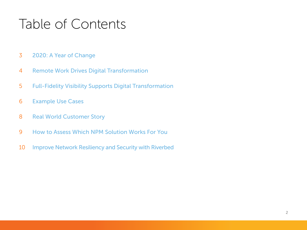### Table of Contents

- [2020: A Year of Change](#page-2-0)
- [Remote Work Drives Digital Transformation](#page-3-0)
- [Full-Fidelity Visibility Supports Digital Transformation](#page-4-0)
- [Example Use Cases](#page-5-0)
- [Real World Customer Story](#page-7-0)
- [How to Assess Which NPM Solution Works For You](#page-8-0)
- [Improve Network Resiliency and Security with Riverbed](#page-9-0)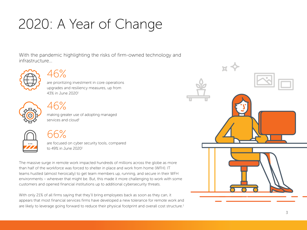## <span id="page-2-0"></span>2020: A Year of Change

With the pandemic highlighting the risks of firm-owned technology and infrastructure...





are prioritizing investment in core operations upgrades and resiliency measures, up from 43% in June 20201



### 46%

making greater use of adopting managed services and cloud<sup>1</sup>



### 66%

are focused on cyber security tools, compared to 49% in June 20201

The massive surge in remote work impacted hundreds of millions across the globe as more than half of the workforce was forced to shelter in place and work from home (WFH). IT teams hustled (almost heroically) to get team members up, running, and secure in their WFH environments – wherever that might be. But, this made it more challenging to work with some customers and opened financial institutions up to additional cybersecurity threats.

With only 21% of all firms saying that they'll bring employees back as soon as they can, it appears that most financial services firms have developed a new tolerance for remote work and are likely to leverage going forward to reduce their physical footprint and overall cost structure.<sup>1</sup>

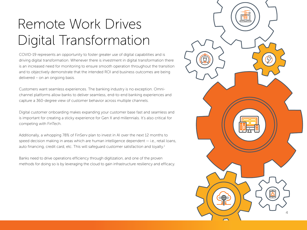## <span id="page-3-0"></span> Remote Work Drives Digital Transformation

COVID-19 represents an opportunity to foster greater use of digital capabilities and is driving digital transformation. Whenever there is investment in digital transformation there is an increased need for monitoring to ensure smooth operation throughout the transition and to objectively demonstrate that the intended ROI and business outcomes are being delivered – on an ongoing basis.

Customers want seamless experiences. The banking industry is no exception. Omnichannel platforms allow banks to deliver seamless, end-to-end banking experiences and capture a 360-degree view of customer behavior across multiple channels.

Digital customer onboarding makes expanding your customer base fast and seamless and is important for creating a sticky experience for Gen X and millennials. It's also critical for competing with FinTech.

Additionally, a whopping 78% of FinServ plan to invest in AI over the next 12 months to speed decision making in areas which are human intelligence dependent — i.e., retail loans, auto financing, credit card, etc. This will safeguard customer satisfaction and loyalty.<sup>1</sup>

Banks need to drive operations efficiency through digitization, and one of the proven methods for doing so is by leveraging the cloud to gain infrastructure resiliency and efficacy.

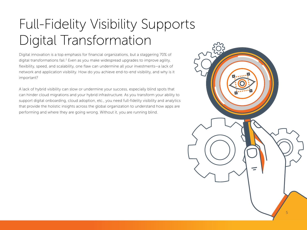## <span id="page-4-0"></span>Full-Fidelity Visibility Supports Digital Transformation

Digital innovation is a top emphasis for financial organizations, but a staggering 70% of digital transformations fail.<sup>2</sup> Even as you make widespread upgrades to improve agility, flexibility, speed, and scalability, one flaw can undermine all your investments—a lack of network and application visibility. How do you achieve end-to-end visibility, and why is it important?

A lack of hybrid visibility can slow or undermine your success, especially blind spots that can hinder cloud migrations and your hybrid infrastructure. As you transform your ability to support digital onboarding, cloud adoption, etc., you need full-fidelity visibility and analytics that provide the holistic insights across the global organization to understand how apps are performing and where they are going wrong. Without it, you are running blind.

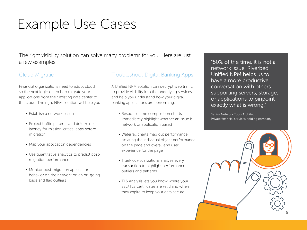### <span id="page-5-0"></span>Example Use Cases

The right visibility solution can solve many problems for you. Here are just a few examples:

Financial organizations need to adopt cloud, so the next logical step is to migrate your applications from their existing data center to the cloud. The right NPM solution will help you:

- Establish a network baseline
- Project traffic patterns and determine latency for mission-critical apps before migration
- Map your application dependencies
- Use quantitative analytics to predict postmigration performance
- Monitor post-migration application behavior on the network on an on-going basis and flag outliers

### Cloud Migration Troubleshoot Digital Banking Apps

A Unified NPM solution can decrypt web traffic to provide visibility into the underlying services and help you understand how your digital banking applications are performing.

- Response time composition charts immediately highlight whether an issue is network or application based
- Waterfall charts map out performance, isolating the individual object performance on the page and overall end user experience for the page
- TruePlot visualizations analyze every transaction to highlight performance outliers and patterns
- TLS Analysis lets you know where your SSL/TLS certificates are valid and when they expire to keep your data secure

"50% of the time, it is not a network issue. Riverbed Unified NPM helps us to have a more productive conversation with others supporting servers, storage, or applications to pinpoint exactly what is wrong."

Senior Network Tools Architect, Private financial services holding company

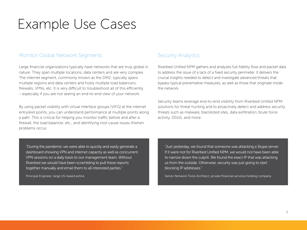### Example Use Cases

### Monitor Global Network Segments Security Analytics

Large financial organizations typically have networks that are truly global in nature. They span multiple locations, data centers and are very complex. The internet segment, commonly known as the DMZ, typically spans multiple regions and data centers and hosts multiple load balancers, firewalls, VPNs, etc. It is very difficult to troubleshoot all of this efficiently – especially if you are not seeing an end-to-end view of your network.

By using packet visibility with virtual interface groups (VIFG) at the internet entry/exit points, you can understand performance at multiple points along a path. This is critical for helping you monitor traffic before and after a firewall, the load balancer, etc., and identifying root cause issues if/when problems occur.

Riverbed Unified NPM gathers and analyzes full-fidelity flow and packet data to address the issue of a lack of a fixed security perimeter. It delivers the crucial insights needed to detect and investigate advanced threats that bypass typical preventative measures, as well as those that originate inside the network.

Security teams leverage end-to-end visibility from Riverbed Unified NPM solutions for threat hunting and to proactively detect and address security threats such as malware, blacklisted sites, data exfiltration, brute force activity, DDoS, and more.

"During the pandemic we were able to quickly and easily generate a dashboard showing VPN and internet capacity as well as concurrent VPN sessions on a daily basis to our management team. Without Riverbed we would have been scrambling to pull these reports together manually and email them to all interested parties."

Principal Engineer, large US-based airline

"Just yesterday, we found that someone was attacking a Skype server. If it were not for Riverbed Unified NPM, we would not have been able to narrow down the culprit. We found the exact IP that was attacking us from the outside. Otherwise, security was just going to start blocking IP addresses."

Senior Network Tools Architect, private financial services holding company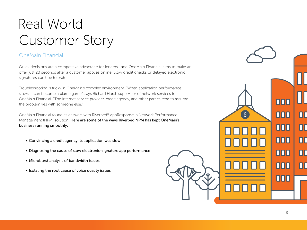## <span id="page-7-0"></span> Real World Customer Story

### OneMain Financial

Quick decisions are a competitive advantage for lenders—and OneMain Financial aims to make an offer just 20 seconds after a customer applies online. Slow credit checks or delayed electronic signatures can't be tolerated.

Troubleshooting is tricky in OneMain's complex environment. "When application performance slows, it can become a blame game," says Richard Hurst, supervisor of network services for OneMain Financial. "The Internet service provider, credit agency, and other parties tend to assume the problem lies with someone else."

OneMain Financial found its answers with Riverbed® AppResponse, a Network Performance Management (NPM) solution. Here are some of the ways Riverbed NPM has kept OneMain's business running smoothly:

- Convincing a credit agency its application was slow
- Diagnosing the cause of slow electronic-signature app performance
- Microburst analysis of bandwidth issues
- Isolating the root cause of voice quality issues

nnn

000

000

000

000

000

000

ПГ

00

00

 $\Box$ 

 $\overline{\Pi}$ 

 $\mathsf{S}$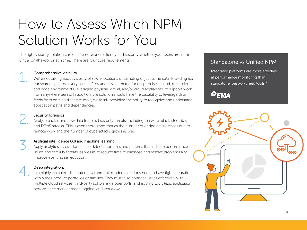## <span id="page-8-0"></span> How to Assess Which NPM Solution Works for You

The right visibility solution can ensure network resiliency and security whether your users are in the office, on-the-go, or at home. There are four core requirements: Standalone vs Unified NPM

**1. Comprehensive visibility.**<br>We're not talking about visit transparency across every We're not talking about visibility of *some* locations or sampling of just some data. Providing *full* transparency across every packet, flow and device metric for on-premises, cloud, multi-cloud, and edge environments, leveraging physical, virtual, and/or cloud appliances, to support work from anywhere teams. In addition, the solution should have the capability to leverage data feeds from existing disparate tools, while still providing the ability to recognize and understand application paths and dependencies.



Security forensics.<br>Analyze packet and<br>and DDoS attacks Analyze packet and flow data to detect security threats, including malware, blacklisted sites, and DDoS attacks. This is even more important as the number of endpoints increases due to remote work and the number of cyberattacks grows as well.

Artificial intelligence (AI) and machine learning.<br>Apply analytics across domains to detect anomal<br>issues and security threats, as well as to reduce time Apply analytics across domains to detect anomalies and patterns that indicate performance issues and security threats, as well as to reduce time to diagnose and resolve problems and improve event noise reduction.

Deep integration.<br>
In a highly comple<br>
within their product In a highly complex, distributed environment, modern solutions need to have tight integration within their product portfolios or families. They must also connect just as effectively with multiple cloud services, third-party software via open APIs, and existing tools (e.g., application performance management, logging, and workflow).

Integrated platforms are more effective at performance monitoring than standalone, best-of-breed tools.<sup>3</sup>

### $O<sub>EMA</sub>$